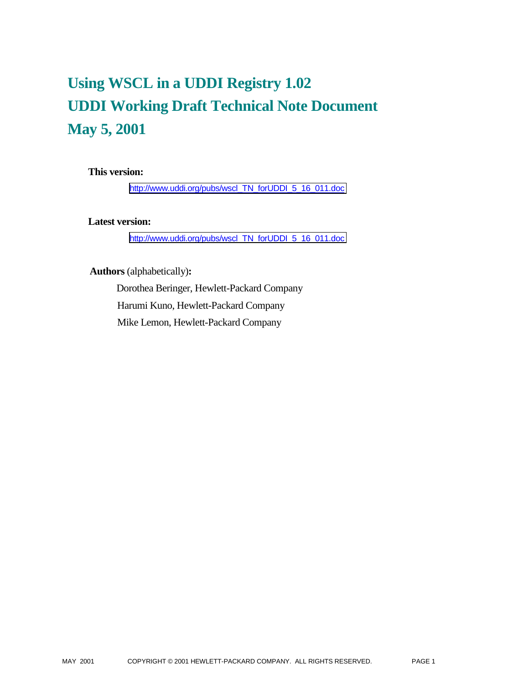# **Using WSCL in a UDDI Registry 1.02 UDDI Working Draft Technical Note Document May 5, 2001**

## **This version:**

[http://www.uddi.org/pubs/wscl\\_TN\\_forUDDI\\_5\\_16\\_011.doc](http://www.uddi.org/pubs/wscl_TN_forUDDI_5_16_011.doc)

## **Latest version:**

[http://www.uddi.org/pubs/wscl\\_TN\\_forUDDI\\_5\\_16\\_011.doc](http://www.uddi.org/pubs/wscl_TN_forUDDI_5_16_011.doc)

## **Authors** (alphabetically)**:**

 Dorothea Beringer, Hewlett-Packard Company Harumi Kuno, Hewlett-Packard Company Mike Lemon, Hewlett-Packard Company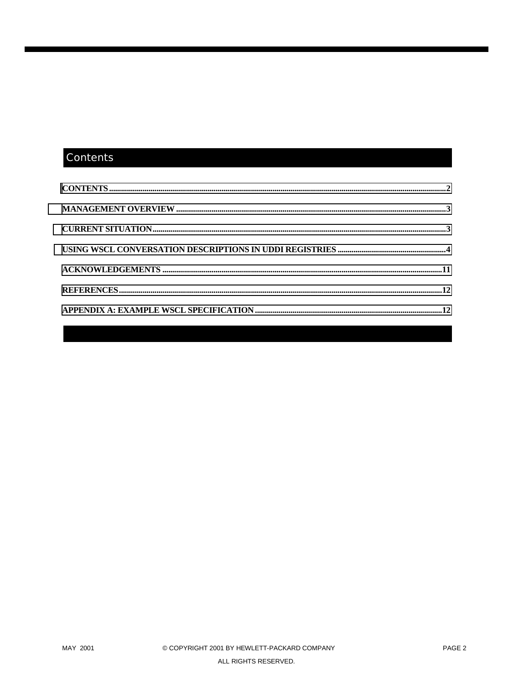# Contents

| $\textbf{CONTENTS} \textit{} \textit{} \textit{} \textit{} \textit{} \textit{} \textit{} \textit{} \textit{} \textit{} \textit{} \textit{} \textit{} \textit{} \textit{} \textit{} \textit{} \textit{} \textit{} \textit{} \textit{} \textit{} \textit{} \textit{} \textit{} \textit{} \textit{} \textit{} \textit{} \textit{} \textit{} \textit{} \textit{} \textit{} \textit{} \textit$ |  |
|-------------------------------------------------------------------------------------------------------------------------------------------------------------------------------------------------------------------------------------------------------------------------------------------------------------------------------------------------------------------------------------------|--|
|                                                                                                                                                                                                                                                                                                                                                                                           |  |
|                                                                                                                                                                                                                                                                                                                                                                                           |  |
|                                                                                                                                                                                                                                                                                                                                                                                           |  |
|                                                                                                                                                                                                                                                                                                                                                                                           |  |
|                                                                                                                                                                                                                                                                                                                                                                                           |  |
|                                                                                                                                                                                                                                                                                                                                                                                           |  |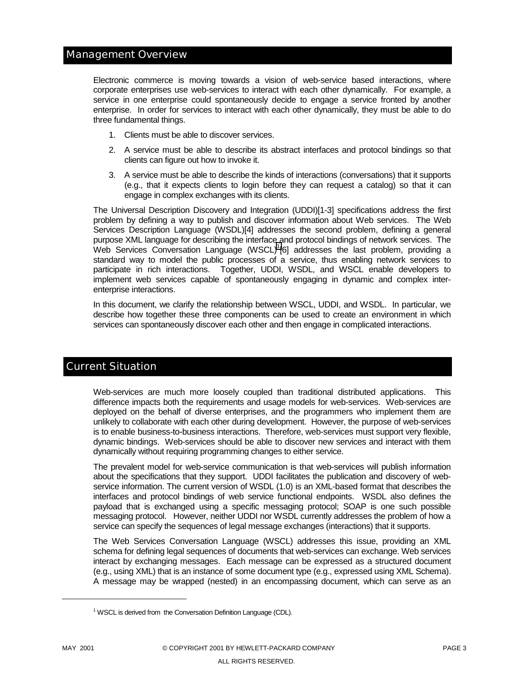#### <span id="page-2-0"></span>Management Overview

Electronic commerce is moving towards a vision of web-service based interactions, where corporate enterprises use web-services to interact with each other dynamically. For example, a service in one enterprise could spontaneously decide to engage a service fronted by another enterprise. In order for services to interact with each other dynamically, they must be able to do three fundamental things.

- 1. Clients must be able to discover services.
- 2. A service must be able to describe its abstract interfaces and protocol bindings so that clients can figure out how to invoke it.
- 3. A service must be able to describe the kinds of interactions (conversations) that it supports (e.g., that it expects clients to login before they can request a catalog) so that it can engage in complex exchanges with its clients.

The Universal Description Discovery and Integration (UDDI)[1-3] specifications address the first problem by defining a way to publish and discover information about Web services. The Web Services Description Language (WSDL)[4] addresses the second problem, defining a general purpose XML language for describing the interface and protocol bindings of network services. The Web Services Conversation Language (WSCL)1 [6] addresses the last problem, providing a standard way to model the public processes of a service, thus enabling network services to participate in rich interactions. Together, UDDI, WSDL, and WSCL enable developers to implement web services capable of spontaneously engaging in dynamic and complex interenterprise interactions.

In this document, we clarify the relationship between WSCL, UDDI, and WSDL. In particular, we describe how together these three components can be used to create an environment in which services can spontaneously discover each other and then engage in complicated interactions.

# Current Situation

Web-services are much more loosely coupled than traditional distributed applications. This difference impacts both the requirements and usage models for web-services. Web-services are deployed on the behalf of diverse enterprises, and the programmers who implement them are unlikely to collaborate with each other during development. However, the purpose of web-services is to enable business-to-business interactions. Therefore, web-services must support very flexible, dynamic bindings. Web-services should be able to discover new services and interact with them dynamically without requiring programming changes to either service.

The prevalent model for web-service communication is that web-services will publish information about the specifications that they support. UDDI facilitates the publication and discovery of webservice information. The current version of WSDL (1.0) is an XML-based format that describes the interfaces and protocol bindings of web service functional endpoints. WSDL also defines the payload that is exchanged using a specific messaging protocol; SOAP is one such possible messaging protocol. However, neither UDDI nor WSDL currently addresses the problem of how a service can specify the sequences of legal message exchanges (interactions) that it supports.

The Web Services Conversation Language (WSCL) addresses this issue, providing an XML schema for defining legal sequences of documents that web-services can exchange. Web services interact by exchanging messages. Each message can be expressed as a structured document (e.g., using XML) that is an instance of some document type (e.g., expressed using XML Schema). A message may be wrapped (nested) in an encompassing document, which can serve as an

l

 $1$  WSCL is derived from the Conversation Definition Language (CDL).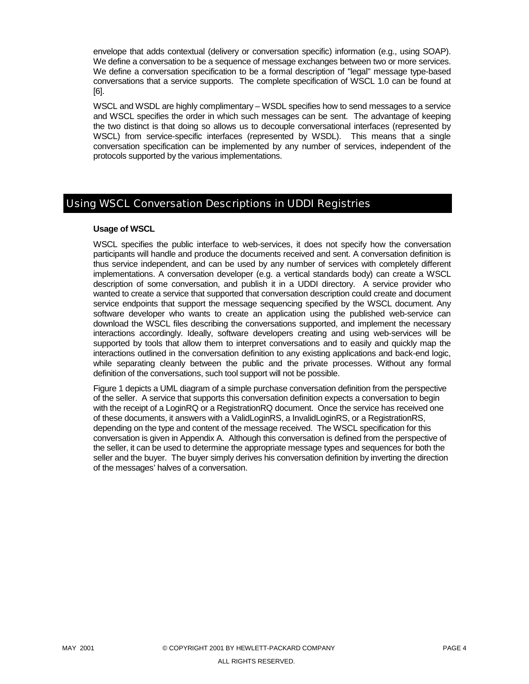<span id="page-3-0"></span>envelope that adds contextual (delivery or conversation specific) information (e.g., using SOAP). We define a conversation to be a sequence of message exchanges between two or more services. We define a conversation specification to be a formal description of "legal" message type-based conversations that a service supports. The complete specification of WSCL 1.0 can be found at [6].

WSCL and WSDL are highly complimentary – WSDL specifies how to send messages to a service and WSCL specifies the order in which such messages can be sent. The advantage of keeping the two distinct is that doing so allows us to decouple conversational interfaces (represented by WSCL) from service-specific interfaces (represented by WSDL). This means that a single conversation specification can be implemented by any number of services, independent of the protocols supported by the various implementations.

# Using WSCL Conversation Descriptions in UDDI Registries

## **Usage of WSCL**

WSCL specifies the public interface to web-services, it does not specify how the conversation participants will handle and produce the documents received and sent. A conversation definition is thus service independent, and can be used by any number of services with completely different implementations. A conversation developer (e.g. a vertical standards body) can create a WSCL description of some conversation, and publish it in a UDDI directory. A service provider who wanted to create a service that supported that conversation description could create and document service endpoints that support the message sequencing specified by the WSCL document. Any software developer who wants to create an application using the published web-service can download the WSCL files describing the conversations supported, and implement the necessary interactions accordingly. Ideally, software developers creating and using web-services will be supported by tools that allow them to interpret conversations and to easily and quickly map the interactions outlined in the conversation definition to any existing applications and back-end logic, while separating cleanly between the public and the private processes. Without any formal definition of the conversations, such tool support will not be possible.

Figure 1 depicts a UML diagram of a simple purchase conversation definition from the perspective of the seller. A service that supports this conversation definition expects a conversation to begin with the receipt of a LoginRQ or a RegistrationRQ document. Once the service has received one of these documents, it answers with a ValidLoginRS, a InvalidLoginRS, or a RegistrationRS, depending on the type and content of the message received. The WSCL specification for this conversation is given in Appendix A. Although this conversation is defined from the perspective of the seller, it can be used to determine the appropriate message types and sequences for both the seller and the buyer. The buyer simply derives his conversation definition by inverting the direction of the messages' halves of a conversation.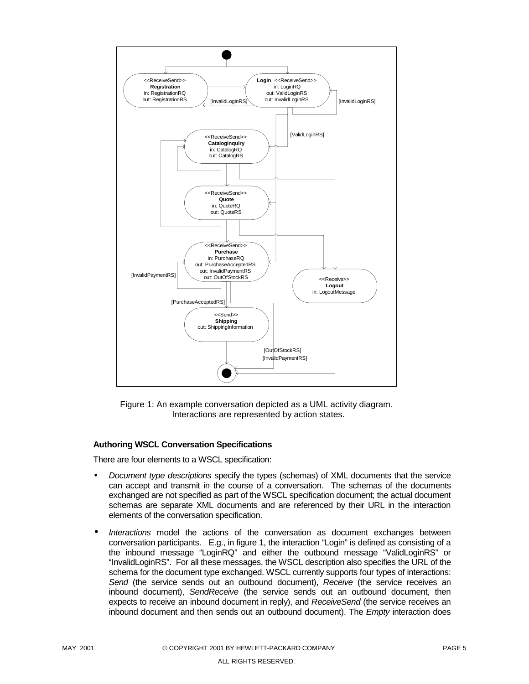

Figure 1: An example conversation depicted as a UML activity diagram. Interactions are represented by action states.

#### **Authoring WSCL Conversation Specifications**

There are four elements to a WSCL specification:

- *Document type descriptions* specify the types (schemas) of XML documents that the service can accept and transmit in the course of a conversation. The schemas of the documents exchanged are not specified as part of the WSCL specification document; the actual document schemas are separate XML documents and are referenced by their URL in the interaction elements of the conversation specification.
- *Interactions* model the actions of the conversation as document exchanges between conversation participants. E.g., in figure 1, the interaction "Login" is defined as consisting of a the inbound message "LoginRQ" and either the outbound message "ValidLoginRS" or "InvalidLoginRS". For all these messages, the WSCL description also specifies the URL of the schema for the document type exchanged. WSCL currently supports four types of interactions: *Send* (the service sends out an outbound document), *Receive* (the service receives an inbound document), *SendReceive* (the service sends out an outbound document, then expects to receive an inbound document in reply), and *ReceiveSend* (the service receives an inbound document and then sends out an outbound document). The *Empty* interaction does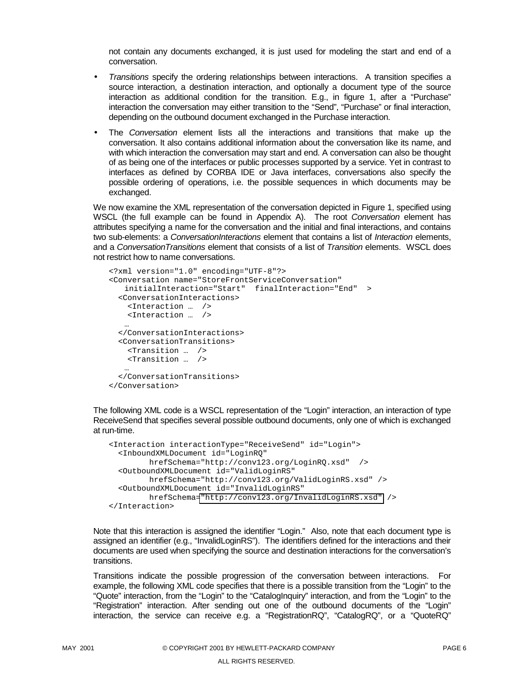not contain any documents exchanged, it is just used for modeling the start and end of a conversation.

- *Transitions* specify the ordering relationships between interactions. A transition specifies a source interaction, a destination interaction, and optionally a document type of the source interaction as additional condition for the transition. E.g., in figure 1, after a "Purchase" interaction the conversation may either transition to the "Send", "Purchase" or final interaction, depending on the outbound document exchanged in the Purchase interaction.
- The *Conversation* element lists all the interactions and transitions that make up the conversation. It also contains additional information about the conversation like its name, and with which interaction the conversation may start and end. A conversation can also be thought of as being one of the interfaces or public processes supported by a service. Yet in contrast to interfaces as defined by CORBA IDE or Java interfaces, conversations also specify the possible ordering of operations, i.e. the possible sequences in which documents may be exchanged.

We now examine the XML representation of the conversation depicted in Figure 1, specified using WSCL (the full example can be found in Appendix A). The root *Conversation* element has attributes specifying a name for the conversation and the initial and final interactions, and contains two sub-elements: a *ConversationInteractions* element that contains a list of *Interaction* elements, and a *ConversationTransitions* element that consists of a list of *Transition* elements. WSCL does not restrict how to name conversations.

```
<?xml version="1.0" encoding="UTF-8"?>
<Conversation name="StoreFrontServiceConversation"
   initialInteraction="Start" finalInteraction="End" >
  <ConversationInteractions>
   <Interaction … />
   <Interaction … />
   …
  </ConversationInteractions>
 <ConversationTransitions>
   <Transition … />
   <Transition … />
   …
 </ConversationTransitions>
</Conversation>
```
The following XML code is a WSCL representation of the "Login" interaction, an interaction of type ReceiveSend that specifies several possible outbound documents, only one of which is exchanged at run-time.

```
<Interaction interactionType="ReceiveSend" id="Login">
 <InboundXMLDocument id="LoginRQ"
        hrefSchema="http://conv123.org/LoginRQ.xsd" />
 <OutboundXMLDocument id="ValidLoginRS"
        hrefSchema="http://conv123.org/ValidLoginRS.xsd" />
 <OutboundXMLDocument id="InvalidLoginRS"
        hrefSchema="http://conv123.org/InvalidLoginRS.xsd" />
</Interaction>
```
Note that this interaction is assigned the identifier "Login." Also, note that each document type is assigned an identifier (e.g., "InvalidLoginRS"). The identifiers defined for the interactions and their documents are used when specifying the source and destination interactions for the conversation's transitions.

Transitions indicate the possible progression of the conversation between interactions. For example, the following XML code specifies that there is a possible transition from the "Login" to the "Quote" interaction, from the "Login" to the "CatalogInquiry" interaction, and from the "Login" to the "Registration" interaction. After sending out one of the outbound documents of the "Login" interaction, the service can receive e.g. a "RegistrationRQ", "CatalogRQ", or a "QuoteRQ"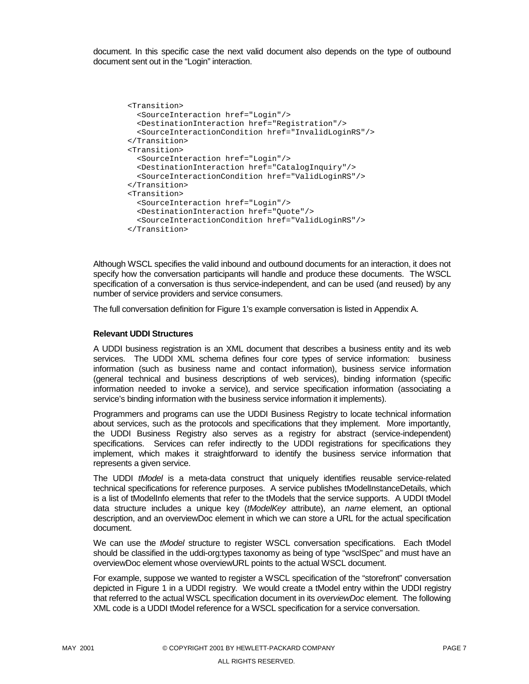document. In this specific case the next valid document also depends on the type of outbound document sent out in the "Login" interaction.

```
<Transition>
  <SourceInteraction href="Login"/>
  <DestinationInteraction href="Registration"/>
 <SourceInteractionCondition href="InvalidLoginRS"/>
</Transition>
<Transition>
 <SourceInteraction href="Login"/>
 <DestinationInteraction href="CatalogInquiry"/>
 <SourceInteractionCondition href="ValidLoginRS"/>
</Transition>
<Transition>
 <SourceInteraction href="Login"/>
 <DestinationInteraction href="Quote"/>
 <SourceInteractionCondition href="ValidLoginRS"/>
</Transition>
```
Although WSCL specifies the valid inbound and outbound documents for an interaction, it does not specify how the conversation participants will handle and produce these documents. The WSCL specification of a conversation is thus service-independent, and can be used (and reused) by any number of service providers and service consumers.

The full conversation definition for Figure 1's example conversation is listed in Appendix A.

#### **Relevant UDDI Structures**

A UDDI business registration is an XML document that describes a business entity and its web services. The UDDI XML schema defines four core types of service information: business information (such as business name and contact information), business service information (general technical and business descriptions of web services), binding information (specific information needed to invoke a service), and service specification information (associating a service's binding information with the business service information it implements).

Programmers and programs can use the UDDI Business Registry to locate technical information about services, such as the protocols and specifications that they implement. More importantly, the UDDI Business Registry also serves as a registry for abstract (service-independent) specifications. Services can refer indirectly to the UDDI registrations for specifications they implement, which makes it straightforward to identify the business service information that represents a given service.

The UDDI *tModel* is a meta-data construct that uniquely identifies reusable service-related technical specifications for reference purposes. A service publishes tModelInstanceDetails, which is a list of tModelInfo elements that refer to the tModels that the service supports. A UDDI tModel data structure includes a unique key (*tModelKey* attribute), an *name* element, an optional description, and an overviewDoc element in which we can store a URL for the actual specification document.

We can use the *tModel* structure to register WSCL conversation specifications. Each tModel should be classified in the uddi-org:types taxonomy as being of type "wsclSpec" and must have an overviewDoc element whose overviewURL points to the actual WSCL document.

For example, suppose we wanted to register a WSCL specification of the "storefront" conversation depicted in Figure 1 in a UDDI registry. We would create a tModel entry within the UDDI registry that referred to the actual WSCL specification document in its *overviewDoc* element. The following XML code is a UDDI tModel reference for a WSCL specification for a service conversation.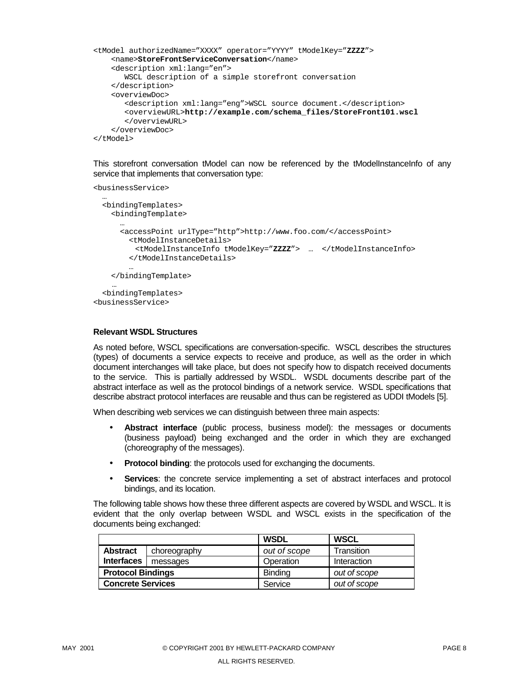```
<tModel authorizedName="XXXX" operator="YYYY" tModelKey="ZZZZ">
   <name>StoreFrontServiceConversation</name>
   <description xml:lang="en">
      WSCL description of a simple storefront conversation
   </description>
   <overviewDoc>
      <description xml:lang="eng">WSCL source document.</description>
      <overviewURL>http://example.com/schema_files/StoreFront101.wscl
       </overviewURL>
   </overviewDoc>
</tModel>
```
This storefront conversation tModel can now be referenced by the tModelInstanceInfo of any service that implements that conversation type:

```
<businessService>
  …
  <bindingTemplates>
    <bindingTemplate>
      …
      <accessPoint urlType="http">http://www.foo.com/</accessPoint>
       <tModelInstanceDetails>
        <tModelInstanceInfo tModelKey="ZZZZ"> … </tModelInstanceInfo>
        </tModelInstanceDetails>
        …
    </bindingTemplate>
    …
  <bindingTemplates>
<businessService>
```
#### **Relevant WSDL Structures**

As noted before, WSCL specifications are conversation-specific. WSCL describes the structures (types) of documents a service expects to receive and produce, as well as the order in which document interchanges will take place, but does not specify how to dispatch received documents to the service. This is partially addressed by WSDL. WSDL documents describe part of the abstract interface as well as the protocol bindings of a network service. WSDL specifications that describe abstract protocol interfaces are reusable and thus can be registered as UDDI tModels [5].

When describing web services we can distinguish between three main aspects:

- **Abstract interface** (public process, business model): the messages or documents (business payload) being exchanged and the order in which they are exchanged (choreography of the messages).
- **Protocol binding**: the protocols used for exchanging the documents.
- **Services**: the concrete service implementing a set of abstract interfaces and protocol bindings, and its location.

The following table shows how these three different aspects are covered by WSDL and WSCL. It is evident that the only overlap between WSDL and WSCL exists in the specification of the documents being exchanged:

|                          |              | <b>WSDL</b>    | <b>WSCL</b>        |
|--------------------------|--------------|----------------|--------------------|
| <b>Abstract</b>          | choreography | out of scope   | Transition         |
| <b>Interfaces</b>        | messages     | Operation      | <b>Interaction</b> |
| <b>Protocol Bindings</b> |              | <b>Binding</b> | out of scope       |
| <b>Concrete Services</b> |              | Service        | out of scope       |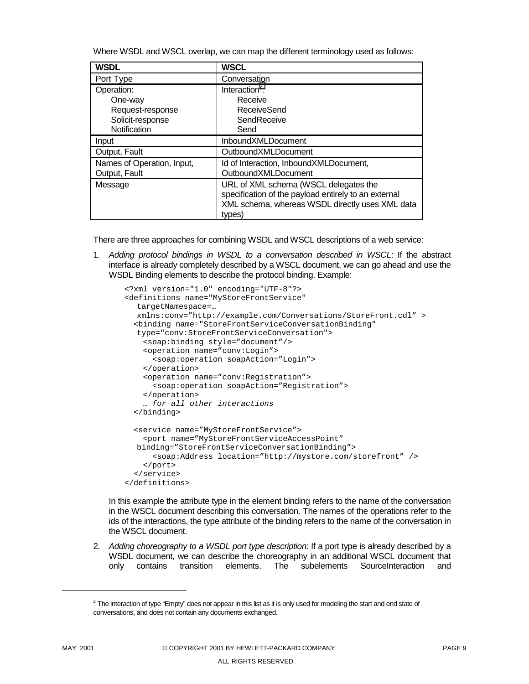Where WSDL and WSCL overlap, we can map the different terminology used as follows:

| <b>WSDL</b>                | <b>WSCL</b>                                                                                                                                                |
|----------------------------|------------------------------------------------------------------------------------------------------------------------------------------------------------|
| Port Type                  | Conversation                                                                                                                                               |
| Operation:                 | Interaction <sup>2</sup> :                                                                                                                                 |
| One-way                    | Receive                                                                                                                                                    |
| Request-response           | <b>ReceiveSend</b>                                                                                                                                         |
| Solicit-response           | SendReceive                                                                                                                                                |
| Notification               | Send                                                                                                                                                       |
| Input                      | <b>InboundXMLDocument</b>                                                                                                                                  |
| Output, Fault              | OutboundXMLDocument                                                                                                                                        |
| Names of Operation, Input, | Id of Interaction, InboundXMLDocument,                                                                                                                     |
| Output, Fault              | OutboundXMLDocument                                                                                                                                        |
| Message                    | URL of XML schema (WSCL delegates the<br>specification of the payload entirely to an external<br>XML schema, whereas WSDL directly uses XML data<br>types) |

There are three approaches for combining WSDL and WSCL descriptions of a web service:

1. *Adding protocol bindings in WSDL to a conversation described in WSCL*: If the abstract interface is already completely described by a WSCL document, we can go ahead and use the WSDL Binding elements to describe the protocol binding. Example:

```
<?xml version="1.0" encoding="UTF-8"?>
<definitions name="MyStoreFrontService"
  targetNamespace=…
  xmlns:conv="http://example.com/Conversations/StoreFront.cdl" >
  <binding name="StoreFrontServiceConversationBinding"
  type="conv:StoreFrontServiceConversation">
    <soap:binding style="document"/>
    <operation name="conv:Login">
      <soap:operation soapAction="Login">
   </operation>
    <operation name="conv:Registration">
      <soap:operation soapAction="Registration">
    </operation>
    … for all other interactions
  </binding>
  <service name="MyStoreFrontService">
   <port name="MyStoreFrontServiceAccessPoint"
  binding="StoreFrontServiceConversationBinding">
      <soap:Address location="http://mystore.com/storefront" />
    \langle/port>
  </service>
</definitions>
```
In this example the attribute type in the element binding refers to the name of the conversation in the WSCL document describing this conversation. The names of the operations refer to the ids of the interactions, the type attribute of the binding refers to the name of the conversation in the WSCL document.

2. *Adding choreography to a WSDL port type description*: If a port type is already described by a WSDL document, we can describe the choreography in an additional WSCL document that only contains transition elements. The subelements SourceInteraction and

l

 $^2$  The interaction of type "Empty" does not appear in this list as it is only used for modeling the start and end state of conversations, and does not contain any documents exchanged.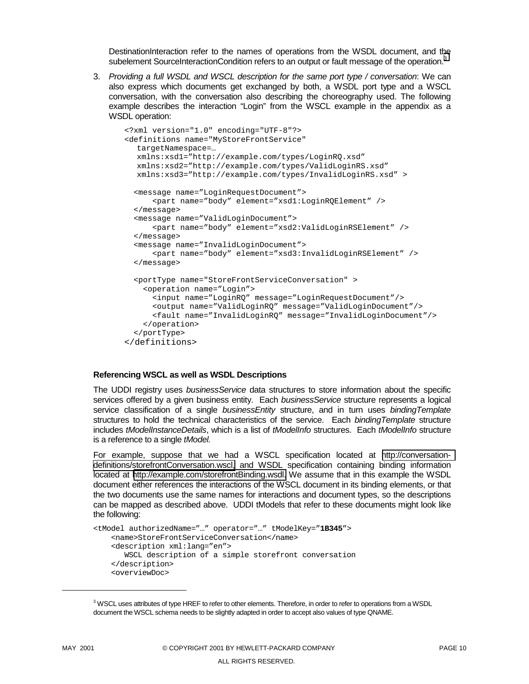DestinationInteraction refer to the names of operations from the WSDL document, and the subelement SourceInteractionCondition refers to an output or fault message of the operation.<sup>3</sup>

3. *Providing a full WSDL and WSCL description for the same port type / conversation*: We can also express which documents get exchanged by both, a WSDL port type and a WSCL conversation, with the conversation also describing the choreography used. The following example describes the interaction "Login" from the WSCL example in the appendix as a WSDL operation:

```
<?xml version="1.0" encoding="UTF-8"?>
<definitions name="MyStoreFrontService"
  targetNamespace=…
  xmlns:xsd1="http://example.com/types/LoginRQ.xsd"
  xmlns:xsd2="http://example.com/types/ValidLoginRS.xsd"
  xmlns:xsd3="http://example.com/types/InvalidLoginRS.xsd" >
  <message name="LoginRequestDocument">
     <part name="body" element="xsd1:LoginRQElement" />
  </message>
  <message name="ValidLoginDocument">
     <part name="body" element="xsd2:ValidLoginRSElement" />
  </message>
  <message name="InvalidLoginDocument">
     <part name="body" element="xsd3:InvalidLoginRSElement" />
  </message>
  <portType name="StoreFrontServiceConversation" >
   <operation name="Login">
     <input name="LoginRQ" message="LoginRequestDocument"/>
     <output name="ValidLoginRQ" message="ValidLoginDocument"/>
     <fault name="InvalidLoginRQ" message="InvalidLoginDocument"/>
   </operation>
  </portType>
</definitions>
```
#### **Referencing WSCL as well as WSDL Descriptions**

The UDDI registry uses *businessService* data structures to store information about the specific services offered by a given business entity. Each *businessService* structure represents a logical service classification of a single *businessEntity* structure, and in turn uses *bindingTemplate* structures to hold the technical characteristics of the service. Each *bindingTemplate* structure includes *tModelInstanceDetails*, which is a list of *tModelInfo* structures. Each *tModelInfo* structure is a reference to a single *tModel.* 

For example, suppose that we had a WSCL specification located at [http://conversation](http://conversation-definitions/storefrontConversation.wscl)[definitions/storefrontConversation.wscl,](http://conversation-definitions/storefrontConversation.wscl) and WSDL specification containing binding information located at [http://example.com/storefrontBinding.wsdl.](http://example.com/loginRegisterstorefrontBinding.wsdl) We assume that in this example the WSDL document either references the interactions of the WSCL document in its binding elements, or that the two documents use the same names for interactions and document types, so the descriptions can be mapped as described above. UDDI tModels that refer to these documents might look like the following:

```
<tModel authorizedName="…" operator="…" tModelKey="1B345">
    <name>StoreFrontServiceConversation</name>
   <description xml:lang="en">
      WSCL description of a simple storefront conversation
   </description>
   <overviewDoc>
```
l

 $3$  WSCL uses attributes of type HREF to refer to other elements. Therefore, in order to refer to operations from a WSDL document the WSCL schema needs to be slightly adapted in order to accept also values of type QNAME.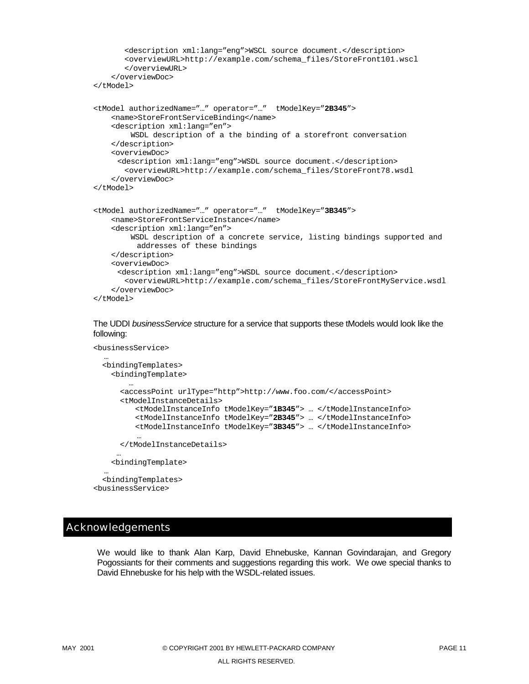```
<description xml:lang="eng">WSCL source document.</description>
       <overviewURL>http://example.com/schema_files/StoreFront101.wscl
       </overviewURL>
    </overviewDoc>
</tModel>
<tModel authorizedName="…" operator="…" tModelKey="2B345">
   <name>StoreFrontServiceBinding</name>
   <description xml:lang="en">
        WSDL description of a the binding of a storefront conversation
   </description>
   <overviewDoc>
     <description xml:lang="eng">WSDL source document.</description>
      <overviewURL>http://example.com/schema_files/StoreFront78.wsdl
   </overviewDoc>
</tModel>
<tModel authorizedName="…" operator="…" tModelKey="3B345">
   <name>StoreFrontServiceInstance</name>
   <description xml:lang="en">
        WSDL description of a concrete service, listing bindings supported and
         addresses of these bindings
   </description>
   <overviewDoc>
     <description xml:lang="eng">WSDL source document.</description>
      <overviewURL>http://example.com/schema_files/StoreFrontMyService.wsdl
   </overviewDoc>
</tModel>
```
#### The UDDI *businessService* structure for a service that supports these tModels would look like the following:

```
<businessService>
```

```
…
<bindingTemplates>
 <bindingTemplate>
      …
    <accessPoint urlType="http">http://www.foo.com/</accessPoint>
    <tModelInstanceDetails>
       <tModelInstanceInfo tModelKey="1B345"> … </tModelInstanceInfo>
       <tModelInstanceInfo tModelKey="2B345"> … </tModelInstanceInfo>
       <tModelInstanceInfo tModelKey="3B345"> … </tModelInstanceInfo>
        …
    </tModelInstanceDetails>
   …
 <bindingTemplate>
```
… <bindingTemplates> <businessService>

# Acknowledgements

We would like to thank Alan Karp, David Ehnebuske, Kannan Govindarajan, and Gregory Pogossiants for their comments and suggestions regarding this work. We owe special thanks to David Ehnebuske for his help with the WSDL-related issues.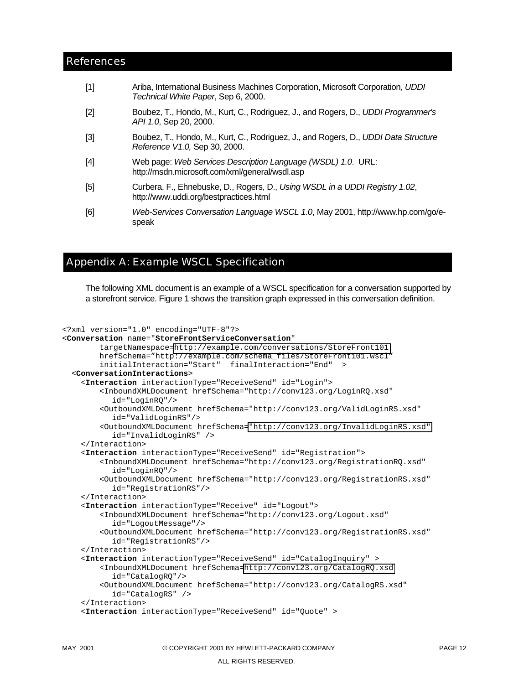#### <span id="page-11-0"></span>References

| $[1]$ | Ariba, International Business Machines Corporation, Microsoft Corporation, UDDI<br>Technical White Paper, Sep 6, 2000. |
|-------|------------------------------------------------------------------------------------------------------------------------|
| $[2]$ | Boubez, T., Hondo, M., Kurt, C., Rodriguez, J., and Rogers, D., UDDI Programmer's<br>API 1.0, Sep 20, 2000.            |
| [3]   | Boubez, T., Hondo, M., Kurt, C., Rodriguez, J., and Rogers, D., UDDI Data Structure<br>Reference V1.0, Sep 30, 2000.   |
| $[4]$ | Web page: Web Services Description Language (WSDL) 1.0. URL:<br>http://msdn.microsoft.com/xml/general/wsdl.asp         |
| $[5]$ | Curbera, F., Ehnebuske, D., Rogers, D., Using WSDL in a UDDI Registry 1.02,<br>http://www.uddi.org/bestpractices.html  |
| [6]   | Web-Services Conversation Language WSCL 1.0, May 2001, http://www.hp.com/go/e-<br>speak                                |

# Appendix A: Example WSCL Specification

The following XML document is an example of a WSCL specification for a conversation supported by a storefront service. Figure 1 shows the transition graph expressed in this conversation definition.

```
<?xml version="1.0" encoding="UTF-8"?>
<Conversation name="StoreFrontServiceConversation"
       targetNamespace=http://example.com/conversations/StoreFront101
       hrefSchema="http://example.com/schema_files/StoreFront101.wscl"
        initialInteraction="Start" finalInteraction="End" >
 <ConversationInteractions>
    <Interaction interactionType="ReceiveSend" id="Login">
        <InboundXMLDocument hrefSchema="http://conv123.org/LoginRQ.xsd"
          id="LoginRQ"/>
        <OutboundXMLDocument hrefSchema="http://conv123.org/ValidLoginRS.xsd"
          id="ValidLoginRS"/>
        <OutboundXMLDocument hrefSchema="http://conv123.org/InvalidLoginRS.xsd"
          id="InvalidLoginRS" />
    </Interaction>
    <Interaction interactionType="ReceiveSend" id="Registration">
        <InboundXMLDocument hrefSchema="http://conv123.org/RegistrationRQ.xsd"
          id="LoginRQ"/>
        <OutboundXMLDocument hrefSchema="http://conv123.org/RegistrationRS.xsd"
          id="RegistrationRS"/>
    </Interaction>
    <Interaction interactionType="Receive" id="Logout">
        <InboundXMLDocument hrefSchema="http://conv123.org/Logout.xsd"
          id="LogoutMessage"/>
        <OutboundXMLDocument hrefSchema="http://conv123.org/RegistrationRS.xsd"
          id="RegistrationRS"/>
    </Interaction>
    <Interaction interactionType="ReceiveSend" id="CatalogInquiry" >
        <InboundXMLDocument hrefSchema=http://conv123.org/CatalogRQ.xsd
          id="CatalogRQ"/>
        <OutboundXMLDocument hrefSchema="http://conv123.org/CatalogRS.xsd"
          id="CatalogRS" />
    </Interaction>
    <Interaction interactionType="ReceiveSend" id="Quote" >
```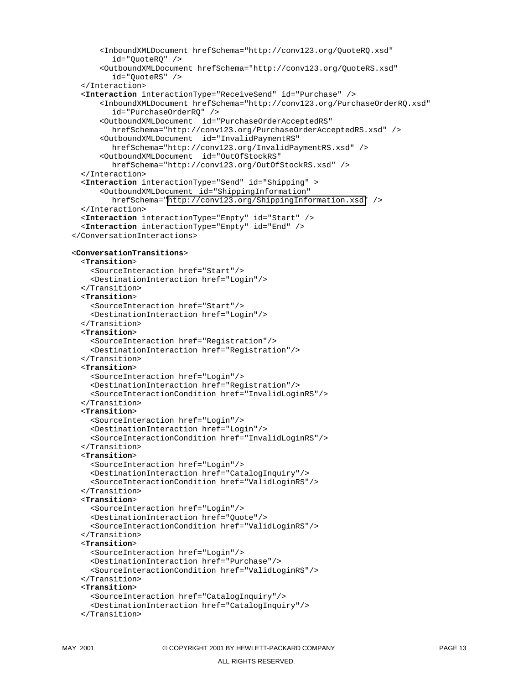```
<InboundXMLDocument hrefSchema="http://conv123.org/QuoteRQ.xsd"
        id="QuoteRQ" />
      <OutboundXMLDocument hrefSchema="http://conv123.org/QuoteRS.xsd"
        id="QuoteRS" />
  </Interaction>
  <Interaction interactionType="ReceiveSend" id="Purchase" />
      <InboundXMLDocument hrefSchema="http://conv123.org/PurchaseOrderRQ.xsd"
        id="PurchaseOrderRQ" />
      <OutboundXMLDocument id="PurchaseOrderAcceptedRS"
        hrefSchema="http://conv123.org/PurchaseOrderAcceptedRS.xsd" />
      <OutboundXMLDocument id="InvalidPaymentRS"
        hrefSchema="http://conv123.org/InvalidPaymentRS.xsd" />
      <OutboundXMLDocument id="OutOfStockRS"
        hrefSchema="http://conv123.org/OutOfStockRS.xsd" />
  </Interaction>
  <Interaction interactionType="Send" id="Shipping" >
      <OutboundXMLDocument id="ShippingInformation"
        hrefSchema="http://conv123.org/ShippingInformation.xsd" />
  </Interaction>
  <Interaction interactionType="Empty" id="Start" />
  <Interaction interactionType="Empty" id="End" />
</ConversationInteractions>
<ConversationTransitions>
  <Transition>
    <SourceInteraction href="Start"/>
    <DestinationInteraction href="Login"/>
  </Transition>
  <Transition>
    <SourceInteraction href="Start"/>
    <DestinationInteraction href="Login"/>
  </Transition>
  <Transition>
    <SourceInteraction href="Registration"/>
    <DestinationInteraction href="Registration"/>
  </Transition>
  <Transition>
    <SourceInteraction href="Login"/>
    <DestinationInteraction href="Registration"/>
    <SourceInteractionCondition href="InvalidLoginRS"/>
  </Transition>
  <Transition>
    <SourceInteraction href="Login"/>
    <DestinationInteraction href="Login"/>
    <SourceInteractionCondition href="InvalidLoginRS"/>
  </Transition>
  <Transition>
    <SourceInteraction href="Login"/>
    <DestinationInteraction href="CatalogInquiry"/>
    <SourceInteractionCondition href="ValidLoginRS"/>
  </Transition>
  <Transition>
    <SourceInteraction href="Login"/>
    <DestinationInteraction href="Quote"/>
    <SourceInteractionCondition href="ValidLoginRS"/>
  </Transition>
 <Transition>
    <SourceInteraction href="Login"/>
    <DestinationInteraction href="Purchase"/>
    <SourceInteractionCondition href="ValidLoginRS"/>
  </Transition>
  <Transition>
    <SourceInteraction href="CatalogInquiry"/>
    <DestinationInteraction href="CatalogInquiry"/>
  </Transition>
```